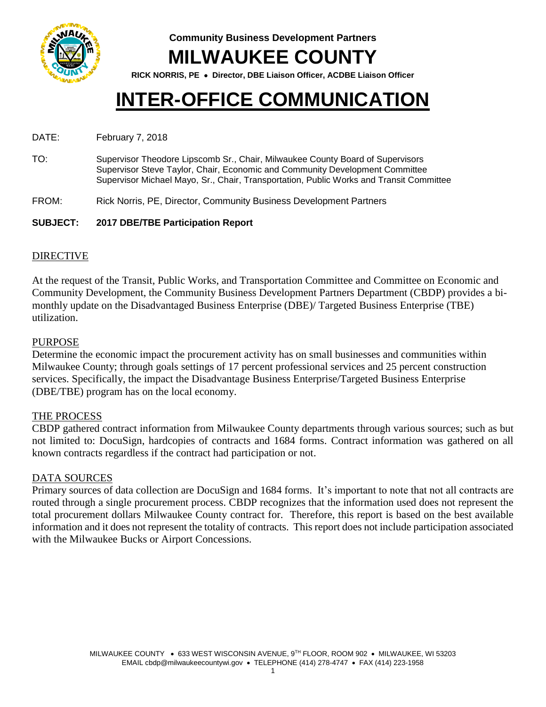

**Community Business Development Partners MILWAUKEE COUNTY**

**RICK NORRIS, PE Director, DBE Liaison Officer, ACDBE Liaison Officer**

# **INTER-OFFICE COMMUNICATION**

## DATE: February 7, 2018

TO: Supervisor Theodore Lipscomb Sr., Chair, Milwaukee County Board of Supervisors Supervisor Steve Taylor, Chair, Economic and Community Development Committee Supervisor Michael Mayo, Sr., Chair, Transportation, Public Works and Transit Committee

FROM: Rick Norris, PE, Director, Community Business Development Partners

## **SUBJECT: 2017 DBE/TBE Participation Report**

## DIRECTIVE

At the request of the Transit, Public Works, and Transportation Committee and Committee on Economic and Community Development, the Community Business Development Partners Department (CBDP) provides a bimonthly update on the Disadvantaged Business Enterprise (DBE)/ Targeted Business Enterprise (TBE) utilization.

## PURPOSE

Determine the economic impact the procurement activity has on small businesses and communities within Milwaukee County; through goals settings of 17 percent professional services and 25 percent construction services. Specifically, the impact the Disadvantage Business Enterprise/Targeted Business Enterprise (DBE/TBE) program has on the local economy.

## THE PROCESS

CBDP gathered contract information from Milwaukee County departments through various sources; such as but not limited to: DocuSign, hardcopies of contracts and 1684 forms. Contract information was gathered on all known contracts regardless if the contract had participation or not.

## DATA SOURCES

Primary sources of data collection are DocuSign and 1684 forms. It's important to note that not all contracts are routed through a single procurement process. CBDP recognizes that the information used does not represent the total procurement dollars Milwaukee County contract for. Therefore, this report is based on the best available information and it does not represent the totality of contracts. This report does not include participation associated with the Milwaukee Bucks or Airport Concessions.